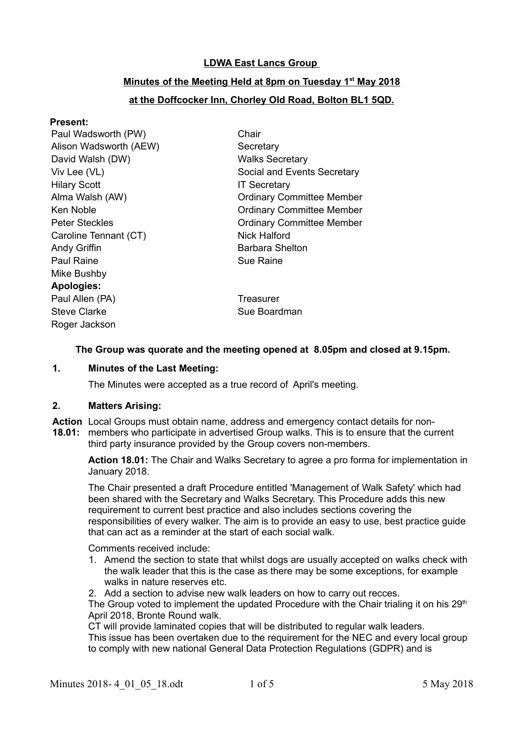# **LDWA East Lancs Group**

# **Minutes of the Meeting Held at 8pm on Tuesday 1st May 2018**

# **at the Doffcocker Inn, Chorley Old Road, Bolton BL1 5QD.**

# **Present:**

| Paul Wadsworth (PW)    | Chair                            |
|------------------------|----------------------------------|
| Alison Wadsworth (AEW) | Secretary                        |
| David Walsh (DW)       | <b>Walks Secretary</b>           |
| Viv Lee (VL)           | Social and Events Secretary      |
| <b>Hilary Scott</b>    | <b>IT Secretary</b>              |
| Alma Walsh (AW)        | <b>Ordinary Committee Member</b> |
| Ken Noble              | <b>Ordinary Committee Member</b> |
| <b>Peter Steckles</b>  | <b>Ordinary Committee Member</b> |
| Caroline Tennant (CT)  | Nick Halford                     |
| Andy Griffin           | Barbara Shelton                  |
| <b>Paul Raine</b>      | Sue Raine                        |
| Mike Bushby            |                                  |
| <b>Apologies:</b>      |                                  |
| Paul Allen (PA)        | Treasurer                        |
| <b>Steve Clarke</b>    | Sue Boardman                     |
| Roger Jackson          |                                  |
|                        |                                  |

# **The Group was quorate and the meeting opened at 8.05pm and closed at 9.15pm.**

# **1. Minutes of the Last Meeting:**

The Minutes were accepted as a true record of April's meeting.

# **2. Matters Arising:**

**Action** Local Groups must obtain name, address and emergency contact details for non-**18.01:** members who participate in advertised Group walks. This is to ensure that the current third party insurance provided by the Group covers non-members.

**Action 18.01:** The Chair and Walks Secretary to agree a pro forma for implementation in January 2018.

The Chair presented a draft Procedure entitled 'Management of Walk Safety' which had been shared with the Secretary and Walks Secretary. This Procedure adds this new requirement to current best practice and also includes sections covering the responsibilities of every walker. The aim is to provide an easy to use, best practice guide that can act as a reminder at the start of each social walk.

Comments received include:

- 1. Amend the section to state that whilst dogs are usually accepted on walks check with the walk leader that this is the case as there may be some exceptions, for example walks in nature reserves etc.
- 2. Add a section to advise new walk leaders on how to carry out recces.

The Group voted to implement the updated Procedure with the Chair trialing it on his  $29<sup>th</sup>$ April 2018, Bronte Round walk.

CT will provide laminated copies that will be distributed to regular walk leaders. This issue has been overtaken due to the requirement for the NEC and every local group to comply with new national General Data Protection Regulations (GDPR) and is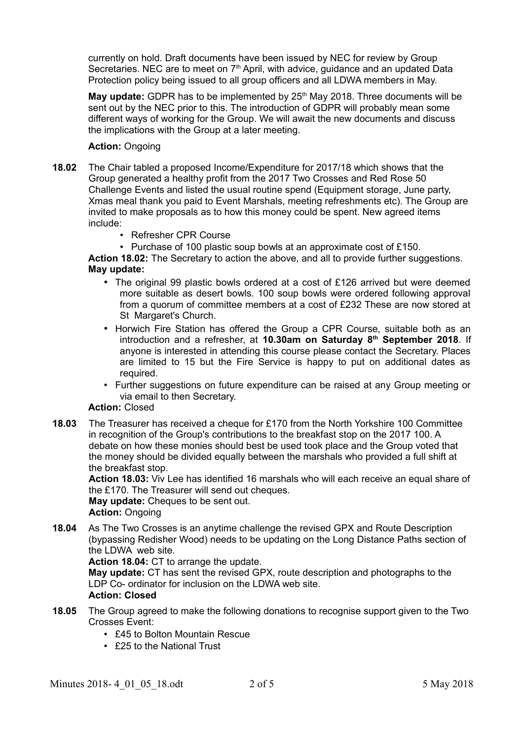currently on hold. Draft documents have been issued by NEC for review by Group Secretaries. NEC are to meet on 7<sup>th</sup> April, with advice, guidance and an updated Data Protection policy being issued to all group officers and all LDWA members in May.

**May update:** GDPR has to be implemented by 25<sup>th</sup> May 2018. Three documents will be sent out by the NEC prior to this. The introduction of GDPR will probably mean some different ways of working for the Group. We will await the new documents and discuss the implications with the Group at a later meeting.

### **Action:** Ongoing

- **18.02** The Chair tabled a proposed Income/Expenditure for 2017/18 which shows that the Group generated a healthy profit from the 2017 Two Crosses and Red Rose 50 Challenge Events and listed the usual routine spend (Equipment storage, June party, Xmas meal thank you paid to Event Marshals, meeting refreshments etc). The Group are invited to make proposals as to how this money could be spent. New agreed items include:
	- Refresher CPR Course
	- Purchase of 100 plastic soup bowls at an approximate cost of £150.

**Action 18.02:** The Secretary to action the above, and all to provide further suggestions. **May update:** 

- The original 99 plastic bowls ordered at a cost of £126 arrived but were deemed more suitable as desert bowls. 100 soup bowls were ordered following approval from a quorum of committee members at a cost of £232 These are now stored at St Margaret's Church.
- Horwich Fire Station has offered the Group a CPR Course, suitable both as an introduction and a refresher, at **10.30am on Saturday 8th September 2018**. If anyone is interested in attending this course please contact the Secretary. Places are limited to 15 but the Fire Service is happy to put on additional dates as required.
- Further suggestions on future expenditure can be raised at any Group meeting or via email to then Secretary.

# **Action:** Closed

**18.03** The Treasurer has received a cheque for £170 from the North Yorkshire 100 Committee in recognition of the Group's contributions to the breakfast stop on the 2017 100. A debate on how these monies should best be used took place and the Group voted that the money should be divided equally between the marshals who provided a full shift at the breakfast stop.

**Action 18.03:** Viv Lee has identified 16 marshals who will each receive an equal share of the £170. The Treasurer will send out cheques.

**May update:** Cheques to be sent out.

**Action:** Ongoing

**18.04** As The Two Crosses is an anytime challenge the revised GPX and Route Description (bypassing Redisher Wood) needs to be updating on the Long Distance Paths section of the LDWA web site.

**Action 18.04:** CT to arrange the update.

**May update:** CT has sent the revised GPX, route description and photographs to the LDP Co- ordinator for inclusion on the LDWA web site.

# **Action: Closed**

- **18.05** The Group agreed to make the following donations to recognise support given to the Two Crosses Event:
	- £45 to Bolton Mountain Rescue
	- £25 to the National Trust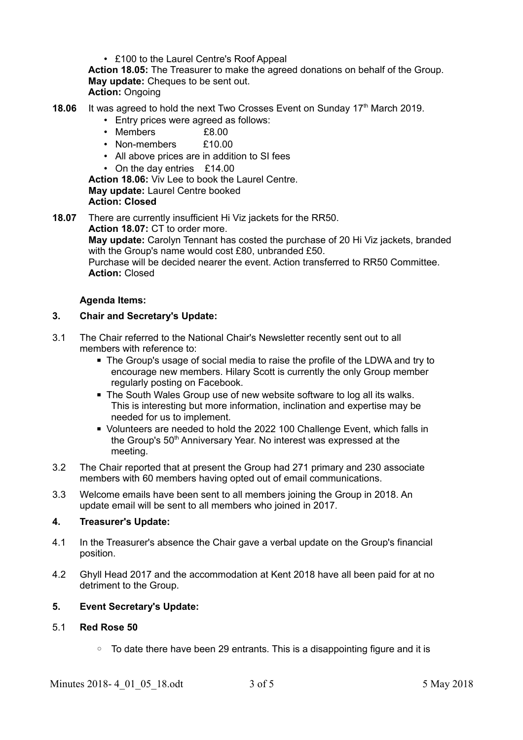• £100 to the Laurel Centre's Roof Appeal **Action 18.05:** The Treasurer to make the agreed donations on behalf of the Group. **May update:** Cheques to be sent out. **Action:** Ongoing

- **18.06** It was agreed to hold the next Two Crosses Event on Sunday 17<sup>th</sup> March 2019.
	- Entry prices were agreed as follows:
	- Members **£8.00**
	- Non-members  $f10.00$
	- All above prices are in addition to SI fees
	- On the day entries £14.00

**Action 18.06:** Viv Lee to book the Laurel Centre. **May update:** Laurel Centre booked **Action: Closed**

**18.07** There are currently insufficient Hi Viz jackets for the RR50. **Action 18.07:** CT to order more. **May update:** Carolyn Tennant has costed the purchase of 20 Hi Viz jackets, branded

with the Group's name would cost £80, unbranded £50. Purchase will be decided nearer the event. Action transferred to RR50 Committee. **Action:** Closed

#### **Agenda Items:**

#### **3. Chair and Secretary's Update:**

- 3.1 The Chair referred to the National Chair's Newsletter recently sent out to all members with reference to:
	- The Group's usage of social media to raise the profile of the LDWA and try to encourage new members. Hilary Scott is currently the only Group member regularly posting on Facebook.
	- The South Wales Group use of new website software to log all its walks. This is interesting but more information, inclination and expertise may be needed for us to implement.
	- Volunteers are needed to hold the 2022 100 Challenge Event, which falls in the Group's 50<sup>th</sup> Anniversary Year. No interest was expressed at the meeting.
- 3.2 The Chair reported that at present the Group had 271 primary and 230 associate members with 60 members having opted out of email communications.
- 3.3 Welcome emails have been sent to all members joining the Group in 2018. An update email will be sent to all members who joined in 2017.

#### **4. Treasurer's Update:**

- 4.1 In the Treasurer's absence the Chair gave a verbal update on the Group's financial position.
- 4.2 Ghyll Head 2017 and the accommodation at Kent 2018 have all been paid for at no detriment to the Group.

# **5. Event Secretary's Update:**

#### 5.1 **Red Rose 50**

◦ To date there have been 29 entrants. This is a disappointing figure and it is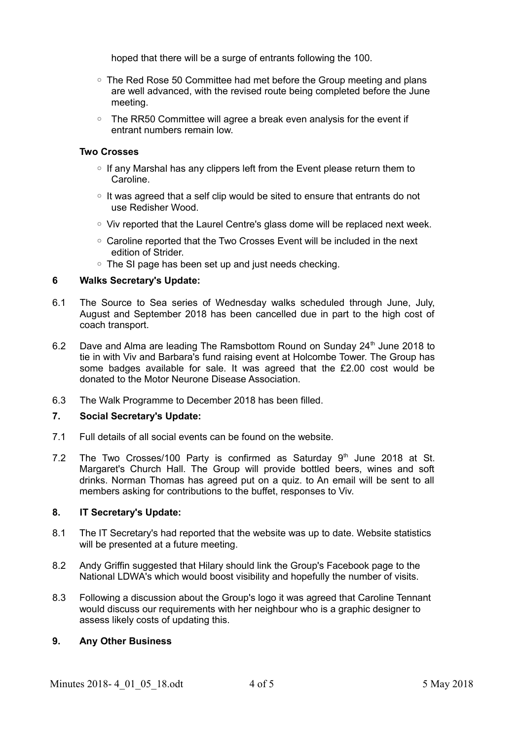hoped that there will be a surge of entrants following the 100.

- The Red Rose 50 Committee had met before the Group meeting and plans are well advanced, with the revised route being completed before the June meeting.
- The RR50 Committee will agree a break even analysis for the event if entrant numbers remain low.

#### **Two Crosses**

- If any Marshal has any clippers left from the Event please return them to Caroline.
- It was agreed that a self clip would be sited to ensure that entrants do not use Redisher Wood.
- Viv reported that the Laurel Centre's glass dome will be replaced next week.
- Caroline reported that the Two Crosses Event will be included in the next edition of Strider.
- The SI page has been set up and just needs checking.

#### **6 Walks Secretary's Update:**

- 6.1 The Source to Sea series of Wednesday walks scheduled through June, July, August and September 2018 has been cancelled due in part to the high cost of coach transport.
- 6.2 Dave and Alma are leading The Ramsbottom Round on Sunday  $24<sup>th</sup>$  June 2018 to tie in with Viv and Barbara's fund raising event at Holcombe Tower. The Group has some badges available for sale. It was agreed that the £2.00 cost would be donated to the Motor Neurone Disease Association.
- 6.3 The Walk Programme to December 2018 has been filled.

#### **7. Social Secretary's Update:**

- 7.1 Full details of all social events can be found on the website.
- 7.2 The Two Crosses/100 Party is confirmed as Saturday  $9<sup>th</sup>$  June 2018 at St. Margaret's Church Hall. The Group will provide bottled beers, wines and soft drinks. Norman Thomas has agreed put on a quiz. to An email will be sent to all members asking for contributions to the buffet, responses to Viv.

#### **8. IT Secretary's Update:**

- 8.1 The IT Secretary's had reported that the website was up to date. Website statistics will be presented at a future meeting.
- 8.2 Andy Griffin suggested that Hilary should link the Group's Facebook page to the National LDWA's which would boost visibility and hopefully the number of visits.
- 8.3 Following a discussion about the Group's logo it was agreed that Caroline Tennant would discuss our requirements with her neighbour who is a graphic designer to assess likely costs of updating this.

# **9. Any Other Business**